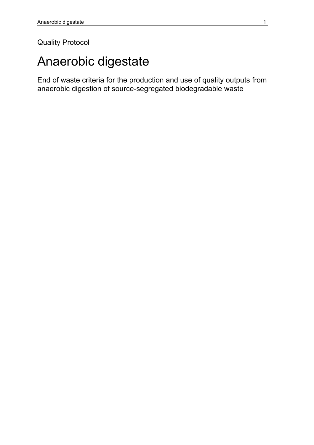### Quality Protocol

# Anaerobic digestate

End of waste criteria for the production and use of quality outputs from anaerobic digestion of source-segregated biodegradable waste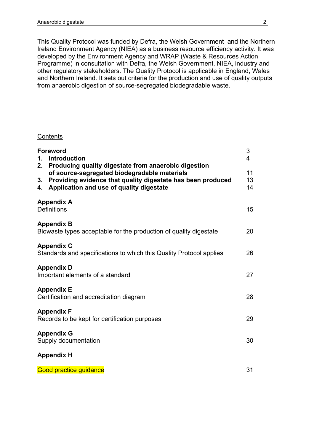This Quality Protocol was funded by Defra, the Welsh Government and the Northern Ireland Environment Agency (NIEA) as a business resource efficiency activity. It was developed by the Environment Agency and WRAP (Waste & Resources Action Programme) in consultation with Defra, the Welsh Government, NIEA, industry and other regulatory stakeholders. The Quality Protocol is applicable in England, Wales and Northern Ireland. It sets out criteria for the production and use of quality outputs from anaerobic digestion of source-segregated biodegradable waste.

#### **Contents**

| <b>Foreword</b><br><b>Introduction</b><br>1.<br>Producing quality digestate from anaerobic digestion<br>2.                                                          | 3<br>4         |
|---------------------------------------------------------------------------------------------------------------------------------------------------------------------|----------------|
| of source-segregated biodegradable materials<br>Providing evidence that quality digestate has been produced<br>3.<br>Application and use of quality digestate<br>4. | 11<br>13<br>14 |
| <b>Appendix A</b><br><b>Definitions</b>                                                                                                                             | 15             |
| <b>Appendix B</b><br>Biowaste types acceptable for the production of quality digestate                                                                              | 20             |
| <b>Appendix C</b><br>Standards and specifications to which this Quality Protocol applies                                                                            | 26             |
| <b>Appendix D</b><br>Important elements of a standard                                                                                                               | 27             |
| <b>Appendix E</b><br>Certification and accreditation diagram                                                                                                        | 28             |
| <b>Appendix F</b><br>Records to be kept for certification purposes                                                                                                  | 29             |
| <b>Appendix G</b><br>Supply documentation                                                                                                                           | 30             |
| <b>Appendix H</b>                                                                                                                                                   |                |
| <b>Good practice guidance</b>                                                                                                                                       | 31             |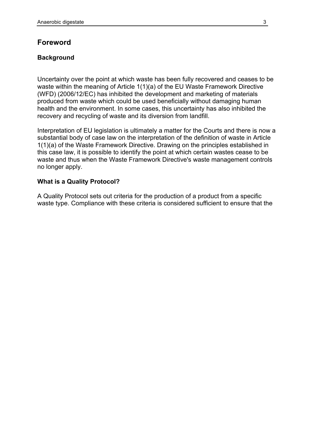#### **Foreword**

#### **Background**

Uncertainty over the point at which waste has been fully recovered and ceases to be waste within the meaning of Article 1(1)(a) of the EU Waste Framework Directive (WFD) (2006/12/EC) has inhibited the development and marketing of materials produced from waste which could be used beneficially without damaging human health and the environment. In some cases, this uncertainty has also inhibited the recovery and recycling of waste and its diversion from landfill.

Interpretation of EU legislation is ultimately a matter for the Courts and there is now a substantial body of case law on the interpretation of the definition of waste in Article 1(1)(a) of the Waste Framework Directive. Drawing on the principles established in this case law, it is possible to identify the point at which certain wastes cease to be waste and thus when the Waste Framework Directive's waste management controls no longer apply.

#### **What is a Quality Protocol?**

A Quality Protocol sets out criteria for the production of a product from a specific waste type. Compliance with these criteria is considered sufficient to ensure that the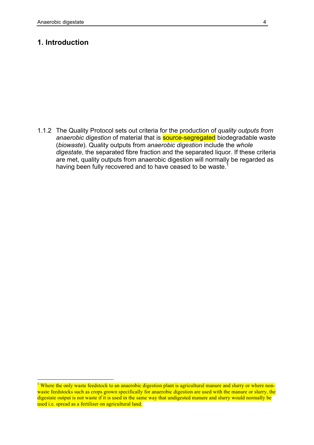#### **1. Introduction**

1.1.2 The Quality Protocol sets out criteria for the production of *quality outputs from anaerobic digestion* of material that is source-segregated biodegradable waste (*biowaste*). Quality outputs from *anaerobic digestion* include the *whole digestate*, the separated fibre fraction and the separated liquor. If these criteria are met, quality outputs from anaerobic digestion will normally be regarded as having been fully recovered and to have ceased to be waste.<sup>1</sup>

Where the only waste feedstock to an anaerobic digestion plant is agricultural manure and slurry or where nonwaste feedstocks such as crops grown specifically for anaerobic digestion are used with the manure or slurry, the digestate output is not waste if it is used in the same way that undigested manure and slurry would normally be used i.e. spread as a fertiliser on agricultural land.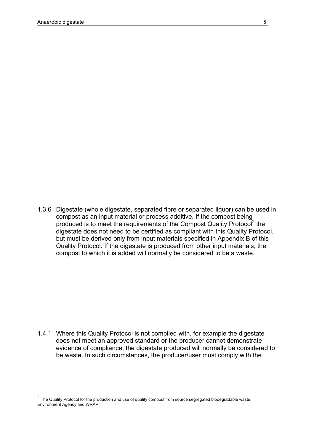1.3.6 Digestate (whole digestate, separated fibre or separated liquor) can be used in compost as an input material or process additive. If the compost being produced is to meet the requirements of the Compost Quality Protocol<sup>2</sup> the digestate does not need to be certified as compliant with this Quality Protocol, but must be derived only from input materials specified in Appendix B of this Quality Protocol. If the digestate is produced from other input materials, the compost to which it is added will normally be considered to be a waste.

1.4.1 Where this Quality Protocol is not complied with, for example the digestate does not meet an approved standard or the producer cannot demonstrate evidence of compliance, the digestate produced will normally be considered to be waste. In such circumstances, the producer/user must comply with the

 $2$  The Quality Protocol for the production and use of quality compost from source segregated biodegradable waste, Environment Agency and WRAP.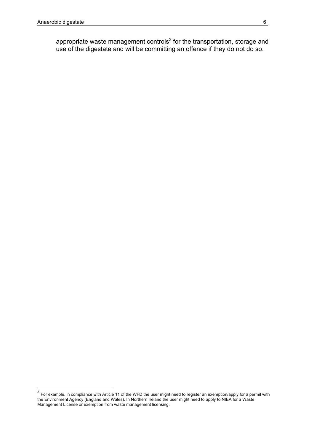appropriate waste management controls<sup>3</sup> for the transportation, storage and use of the digestate and will be committing an offence if they do not do so.

 $\overline{\text{3}}$  For example, in compliance with Article 11 of the WFD the user might need to register an exemption/apply for a permit with the Environment Agency (England and Wales). In Northern Ireland the user might need to apply to NIEA for a Waste Management License or exemption from waste management licensing.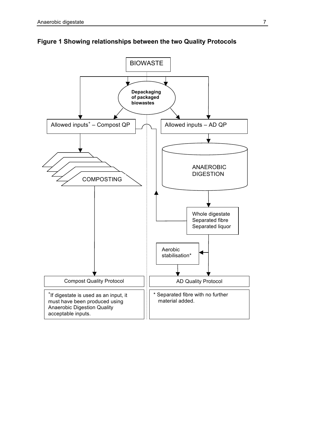

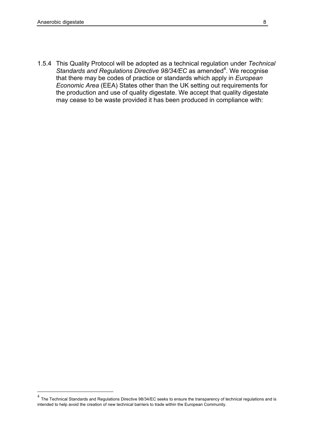1.5.4 This Quality Protocol will be adopted as a technical regulation under *Technical*  Standards and Regulations Directive 98/34/EC as amended<sup>4</sup>. We recognise that there may be codes of practice or standards which apply in *European Economic Area* (EEA) States other than the UK setting out requirements for the production and use of quality digestate. We accept that quality digestate may cease to be waste provided it has been produced in compliance with:

 <sup>4</sup> The Technical Standards and Regulations Directive 98/34/EC seeks to ensure the transparency of technical regulations and is intended to help avoid the creation of new technical barriers to trade within the European Community.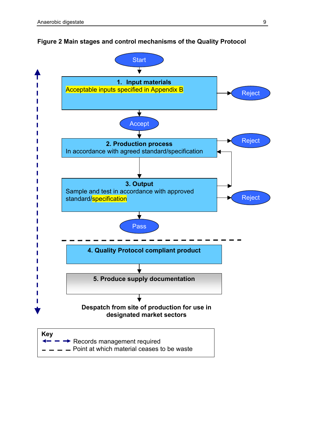

#### **Figure 2 Main stages and control mechanisms of the Quality Protocol**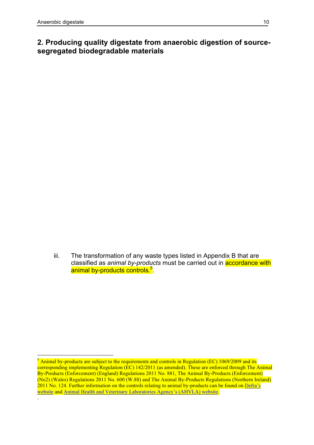### **2. Producing quality digestate from anaerobic digestion of sourcesegregated biodegradable materials**

iii. The transformation of any waste types listed in Appendix B that are classified as *animal by-products* must be carried out in accordance with animal by-products controls.<sup>5</sup>.

 $5$  Animal by-products are subject to the requirements and controls in Regulation (EC) 1069/2009 and its corresponding implementing Regulation (EC) 142/2011 (as amended). These are enforced through The Animal By-Products (Enforcement) (England) Regulations 2011 No. 881, The Animal By-Products (Enforcement) (No2) (Wales) Regulations 2011 No. 600 (W.88) and The Animal By-Products Regulations (Northern Ireland) 2011 No. 124. Further information on the controls relating to animal by-products can be found on Defra's website and Animal Health and Veterinary Laboratories Agency's (AHVLA) website. .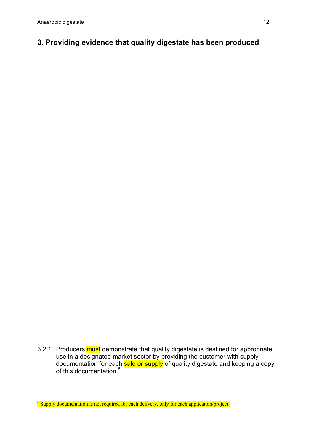### **3. Providing evidence that quality digestate has been produced**

3.2.1 Producers must demonstrate that quality digestate is destined for appropriate use in a designated market sector by providing the customer with supply documentation for each sale or supply of quality digestate and keeping a copy of this documentation.<sup>6</sup>

 $6$  Supply documentation is not required for each delivery, only for each application/project.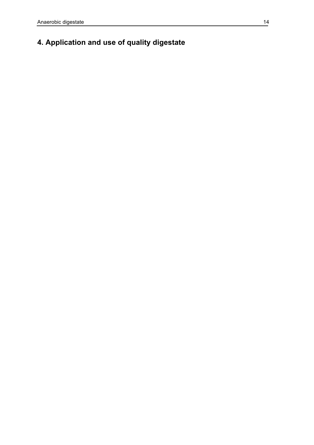# **4. Application and use of quality digestate**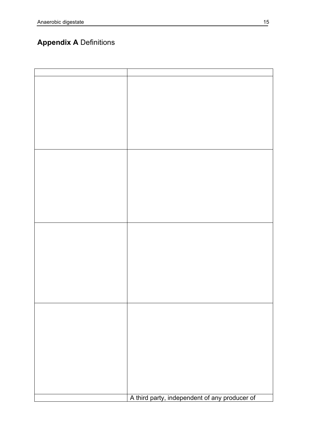# **Appendix A** Definitions

| A third party, independent of any producer of |
|-----------------------------------------------|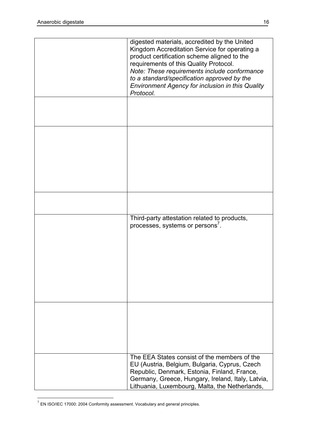| digested materials, accredited by the United<br>Kingdom Accreditation Service for operating a<br>product certification scheme aligned to the<br>requirements of this Quality Protocol.<br>Note: These requirements include conformance<br>to a standard/specification approved by the<br>Environment Agency for inclusion in this Quality<br>Protocol. |
|--------------------------------------------------------------------------------------------------------------------------------------------------------------------------------------------------------------------------------------------------------------------------------------------------------------------------------------------------------|
|                                                                                                                                                                                                                                                                                                                                                        |
|                                                                                                                                                                                                                                                                                                                                                        |
|                                                                                                                                                                                                                                                                                                                                                        |
| Third-party attestation related to products,<br>processes, systems or persons <sup>7</sup> .                                                                                                                                                                                                                                                           |
|                                                                                                                                                                                                                                                                                                                                                        |
| The EEA States consist of the members of the<br>EU (Austria, Belgium, Bulgaria, Cyprus, Czech<br>Republic, Denmark, Estonia, Finland, France,<br>Germany, Greece, Hungary, Ireland, Italy, Latvia,<br>Lithuania, Luxembourg, Malta, the Netherlands,                                                                                                   |

 $7$  EN ISO/IEC 17000: 2004 Conformity assessment. Vocabulary and general principles.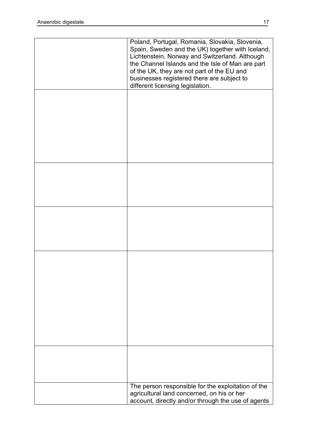| Poland, Portugal, Romania, Slovakia, Slovenia,<br>Spain, Sweden and the UK) together with Iceland,<br>Lichtenstein, Norway and Switzerland. Although<br>the Channel Islands and the Isle of Man are part<br>of the UK, they are not part of the EU and<br>businesses registered there are subject to<br>different licensing legislation. |
|------------------------------------------------------------------------------------------------------------------------------------------------------------------------------------------------------------------------------------------------------------------------------------------------------------------------------------------|
|                                                                                                                                                                                                                                                                                                                                          |
|                                                                                                                                                                                                                                                                                                                                          |
|                                                                                                                                                                                                                                                                                                                                          |
|                                                                                                                                                                                                                                                                                                                                          |
|                                                                                                                                                                                                                                                                                                                                          |
|                                                                                                                                                                                                                                                                                                                                          |
|                                                                                                                                                                                                                                                                                                                                          |
| The person responsible for the exploitation of the<br>agricultural land concerned, on his or her<br>account, directly and/or through the use of agents                                                                                                                                                                                   |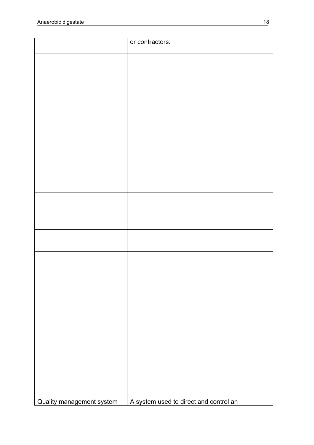|                           | or contractors.                        |
|---------------------------|----------------------------------------|
|                           |                                        |
|                           |                                        |
|                           |                                        |
|                           |                                        |
|                           |                                        |
|                           |                                        |
|                           |                                        |
|                           |                                        |
|                           |                                        |
|                           |                                        |
|                           |                                        |
|                           |                                        |
|                           |                                        |
|                           |                                        |
|                           |                                        |
|                           |                                        |
|                           |                                        |
|                           |                                        |
|                           |                                        |
|                           |                                        |
|                           |                                        |
|                           |                                        |
|                           |                                        |
|                           |                                        |
|                           |                                        |
|                           |                                        |
|                           |                                        |
|                           |                                        |
|                           |                                        |
|                           |                                        |
|                           |                                        |
|                           |                                        |
|                           |                                        |
|                           |                                        |
|                           |                                        |
|                           |                                        |
|                           |                                        |
|                           |                                        |
|                           |                                        |
| Quality management system | A system used to direct and control an |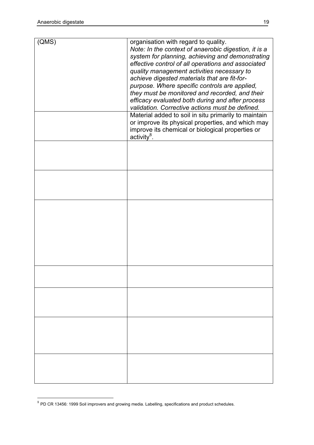| (QMS) | organisation with regard to quality.                 |
|-------|------------------------------------------------------|
|       | Note: In the context of anaerobic digestion, it is a |
|       | system for planning, achieving and demonstrating     |
|       | effective control of all operations and associated   |
|       | quality management activities necessary to           |
|       | achieve digested materials that are fit-for-         |
|       |                                                      |
|       | purpose. Where specific controls are applied,        |
|       | they must be monitored and recorded, and their       |
|       | efficacy evaluated both during and after process     |
|       | validation. Corrective actions must be defined.      |
|       | Material added to soil in situ primarily to maintain |
|       | or improve its physical properties, and which may    |
|       |                                                      |
|       | improve its chemical or biological properties or     |
|       | $\arctivity^8$ .                                     |
|       |                                                      |
|       |                                                      |
|       |                                                      |
|       |                                                      |
|       |                                                      |
|       |                                                      |
|       |                                                      |
|       |                                                      |
|       |                                                      |
|       |                                                      |
|       |                                                      |
|       |                                                      |
|       |                                                      |
|       |                                                      |
|       |                                                      |
|       |                                                      |
|       |                                                      |
|       |                                                      |
|       |                                                      |
|       |                                                      |
|       |                                                      |
|       |                                                      |
|       |                                                      |
|       |                                                      |
|       |                                                      |
|       |                                                      |
|       |                                                      |
|       |                                                      |
|       |                                                      |
|       |                                                      |
|       |                                                      |
|       |                                                      |
|       |                                                      |
|       |                                                      |
|       |                                                      |
|       |                                                      |
|       |                                                      |

<sup>8</sup> PD CR 13456: 1999 Soil improvers and growing media. Labelling, specifications and product schedules.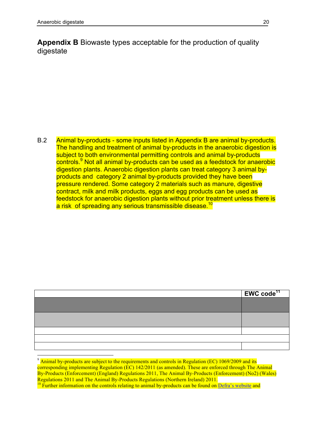**Appendix B** Biowaste types acceptable for the production of quality digestate

B.2 Animal by-products - some inputs listed in Appendix B are animal by-products. The handling and treatment of animal by-products in the anaerobic digestion is subject to both environmental permitting controls and animal by-products controls.<sup>9</sup> Not all animal by-products can be used as a feedstock for anaerobic digestion plants. Anaerobic digestion plants can treat category 3 animal byproducts and category 2 animal by-products provided they have been pressure rendered. Some category 2 materials such as manure, digestive contract, milk and milk products, eggs and egg products can be used as feedstock for anaerobic digestion plants without prior treatment unless there is a risk of spreading any serious transmissible disease.<sup>10</sup>

| $ $ EWC code <sup>11</sup> |
|----------------------------|
|                            |
|                            |
|                            |
|                            |
|                            |
|                            |
|                            |

 $9 \text{ Animal by-products are subject to the requirements and controls in Regulation (EC) 1069/2009 and its}.$ corresponding implementing Regulation (EC) 142/2011 (as amended). These are enforced through The Animal By-Products (Enforcement) (England) Regulations 2011, The Animal By-Products (Enforcement) (No2) (Wales)<br>Regulations 2011 and The Animal By-Products Regulations (Northern Ireland) 2011.

<sup>&</sup>lt;sup>10</sup> Further information on the controls relating to animal by-products can be found on Defra's website and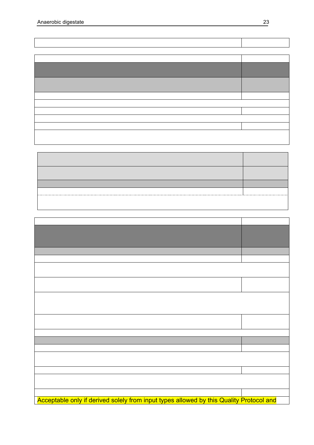| Acceptable only if derived solely from input types allowed by this Quality Protocol and |  |
|-----------------------------------------------------------------------------------------|--|

ī.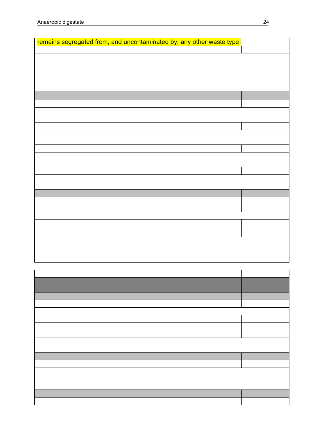| remains segregated from, and uncontaminated by, any other waste type. |  |
|-----------------------------------------------------------------------|--|
|                                                                       |  |
|                                                                       |  |
|                                                                       |  |
|                                                                       |  |
|                                                                       |  |
|                                                                       |  |
|                                                                       |  |
|                                                                       |  |
|                                                                       |  |
|                                                                       |  |
|                                                                       |  |
|                                                                       |  |
|                                                                       |  |
|                                                                       |  |
|                                                                       |  |
|                                                                       |  |
|                                                                       |  |
|                                                                       |  |
|                                                                       |  |
|                                                                       |  |
|                                                                       |  |
|                                                                       |  |
|                                                                       |  |
|                                                                       |  |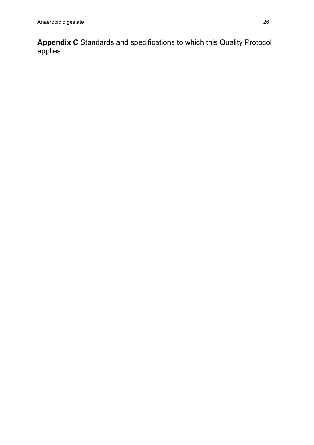**Appendix C** Standards and specifications to which this Quality Protocol applies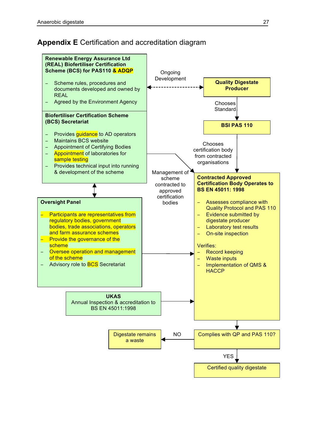## **Appendix E** Certification and accreditation diagram

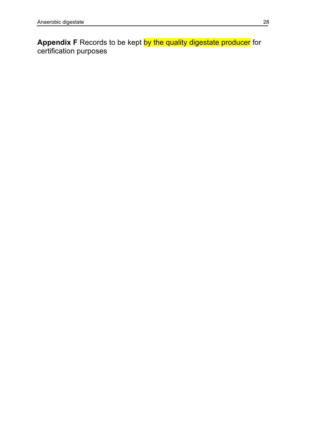**Appendix F** Records to be kept <mark>by the quality digestate producer</mark> for certification purposes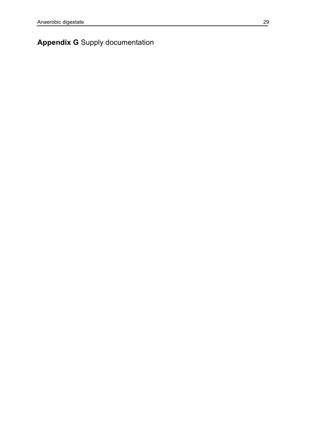# **Appendix G** Supply documentation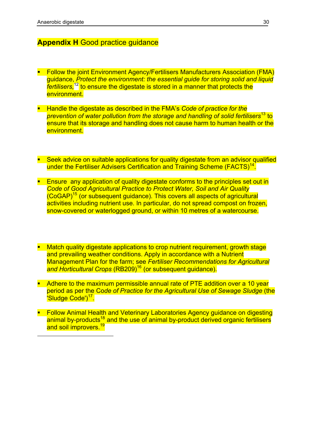$\overline{a}$ 

#### **Appendix H** Good practice guidance

- **Follow the joint Environment Agency/Fertilisers Manufacturers Association (FMA)** guidance, *Protect the environment: the essential guide for storing solid and liquid fertilisers,*<sup>12</sup> to ensure the digestate is stored in a manner that protects the environment.
- § Handle the digestate as described in the FMA's *Code of practice for the prevention of water pollution from the storage and handling of solid fertilisers*<sup>13</sup> to ensure that its storage and handling does not cause harm to human health or the environment.
- Seek advice on suitable applications for quality digestate from an advisor qualified under the Fertiliser Advisers Certification and Training Scheme (FACTS)<sup>14</sup>.
- **Ensure any application of quality digestate conforms to the principles set out in** *Code of Good Agricultural Practice to Protect Water, Soil and Air Quality* (CoGAP)<sup>15</sup> (or subsequent guidance). This covers all aspects of agricultural activities including nutrient use. In particular, do not spread compost on frozen, snow-covered or waterlogged ground, or within 10 metres of a watercourse.
- § Match quality digestate applications to crop nutrient requirement, growth stage and prevailing weather conditions. Apply in accordance with a Nutrient Management Plan for the farm; see *Fertiliser Recommendations for Agricultural*  and Horticultural Crops (RB209)<sup>16</sup> (or subsequent quidance).
- Adhere to the maximum permissible annual rate of PTE addition over a 10 year period as per the Co*de of Practice for the Agricultural Use of Sewage Sludge* (the 'Sludge Code')<sup>17</sup>.
- Follow Animal Health and Veterinary Laboratories Agency quidance on digesting animal by-products<sup>18</sup> and the use of animal by-product derived organic fertilisers and soil improvers.<sup>19</sup>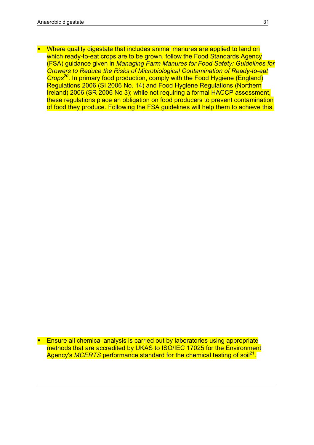1

§ Where quality digestate that includes animal manures are applied to land on which ready-to-eat crops are to be grown, follow the Food Standards Agency (FSA) guidance given in *Managing Farm Manures for Food Safety: Guidelines for Growers to Reduce the Risks of Microbiological Contamination of Ready-to-eat Crops20*. In primary food production, comply with the Food Hygiene (England) Regulations 2006 (SI 2006 No. 14) and Food Hygiene Regulations (Northern Ireland) 2006 (SR 2006 No 3); while not requiring a formal HACCP assessment, these regulations place an obligation on food producers to prevent contamination of food they produce. Following the FSA guidelines will help them to achieve this.

**E** Ensure all chemical analysis is carried out by laboratories using appropriate methods that are accredited by UKAS to ISO/IEC 17025 for the Environment Agency's *MCERTS* performance standard for the chemical testing of soil<sup>21</sup>.